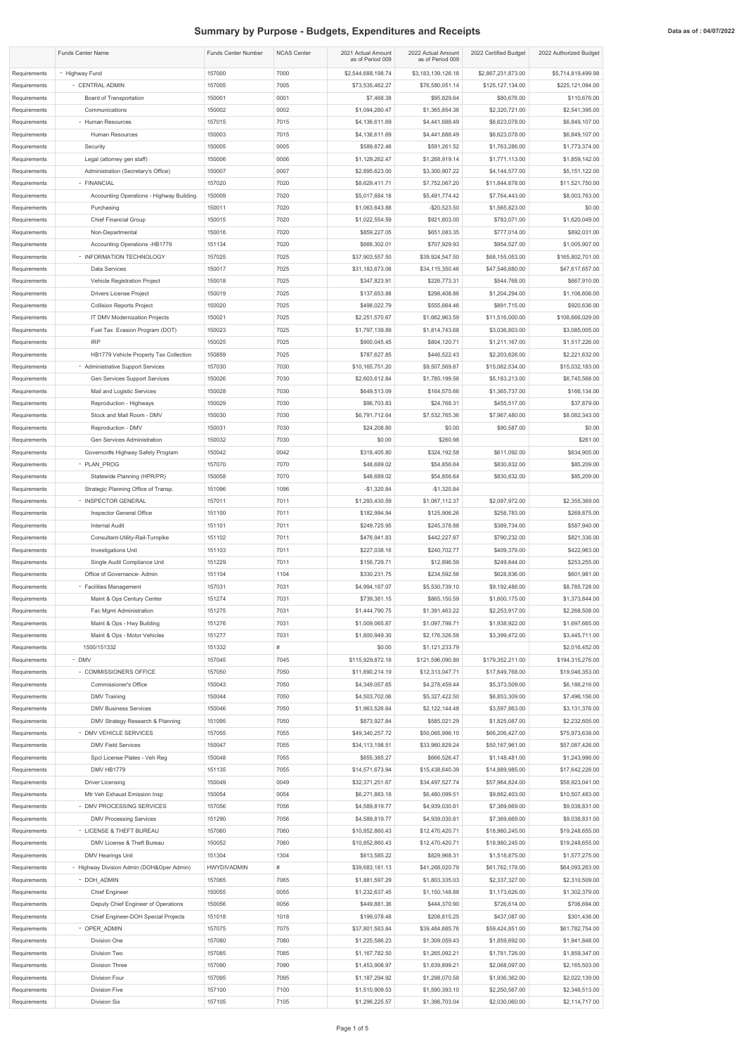## **Summary by Purpose - Budgets, Expenditures and Receipts Data as of : 04/07/2022** Data as of : 04/07/2022

|              | <b>Funds Center Name</b>                  | <b>Funds Center Number</b> | <b>NCAS Center</b> | 2021 Actual Amount<br>as of Period 009 | 2022 Actual Amount<br>as of Period 009 | 2022 Certified Budget | 2022 Authorized Budget |
|--------------|-------------------------------------------|----------------------------|--------------------|----------------------------------------|----------------------------------------|-----------------------|------------------------|
| Requirements | - Highway Fund                            | 157000                     | 7000               | \$2,544,688,198.74                     | \$3,183,139,126.18                     | \$2,867,231,873.00    | \$5,714,819,499.98     |
| Requirements | - CENTRAL ADMIN                           | 157005                     | 7005               | \$73,535,462.27                        | \$76,580,051.14                        | \$125,127,134.00      | \$225,121,094.00       |
| Requirements | <b>Board of Transportation</b>            | 150001                     | 0001               | \$7,468.38                             | \$95,829.64                            | \$80,676.00           | \$110,676.00           |
| Requirements | Communications                            | 150002                     | 0002               | \$1,094,280.47                         | \$1,365,854.36                         | \$2,320,721.00        | \$2,541,395.00         |
| Requirements | - Human Resources                         | 157015                     | 7015               | \$4,136,611.69                         | \$4,441,688.49                         | \$6,623,078.00        | \$6,849,107.00         |
| Requirements | Human Resources                           | 150003                     | 7015               | \$4,136,611.69                         | \$4,441,688.49                         | \$6,623,078.00        | \$6,849,107.00         |
| Requirements | Security                                  | 150005                     | 0005               | \$589,872.46                           | \$591,261.52                           | \$1,763,286.00        | \$1,773,374.00         |
| Requirements | Legal (attorney gen staff)                | 150006                     | 0006               | \$1,129,262.47                         | \$1,268,919.14                         | \$1,771,113.00        | \$1,859,142.00         |
| Requirements | Administration (Secretary's Office)       | 150007                     | 0007               | \$2,895,623.00                         | \$3,300,907.22                         | \$4,144,577.00        | \$5,151,122.00         |
| Requirements | - FINANCIAL                               | 157020                     | 7020               | \$8,629,411.71                         | \$7,752,067.20                         | \$11,844,878.00       | \$11,521,750.00        |
| Requirements | Accounting Operations - Highway Building  | 150009                     | 7020               | \$5,017,684.18                         | \$5,491,774.42                         | \$7,764,443.00        | \$8,003,763.00         |
| Requirements | Purchasing                                | 150011                     | 7020               | \$1,063,643.88                         | $-$20,523.50$                          | \$1,565,823.00        | \$0.00                 |
| Requirements | <b>Chief Financial Group</b>              | 150015                     | 7020               | \$1,022,554.59                         | \$921,803.00                           | \$783,071.00          | \$1,620,049.00         |
| Requirements | Non-Departmental                          | 150016                     | 7020               | \$859,227.05                           | \$651,083.35                           | \$777,014.00          | \$892,031.00           |
| Requirements | Accounting Operations -HB1779             | 151134                     | 7020               | \$666,302.01                           | \$707,929.93                           | \$954,527.00          | \$1,005,907.00         |
| Requirements | - INFORMATION TECHNOLOGY                  | 157025                     | 7025               | \$37,903,557.50                        | \$39,924,547.50                        | \$68,155,053.00       | \$165,802,701.00       |
| Requirements | Data Services                             | 150017                     | 7025               | \$31,183,673.06                        | \$34,115,350.46                        | \$47,546,680.00       | \$47,617,657.00        |
| Requirements | Vehicle Registration Project              | 150018                     | 7025               | \$347,823.91                           | \$226,773.31                           | \$544,768.00          | \$667,910.00           |
| Requirements | Drivers License Project                   | 150019                     | 7025               | \$137,653.88                           | \$298,408.86                           | \$1,204,294.00        | \$1,106,606.00         |
| Requirements | <b>Collision Reports Project</b>          | 150020                     | 7025               | \$498,022.79                           | \$555,664.46                           | \$891,715.00          | \$920,636.00           |
| Requirements | IT DMV Modernization Projects             | 150021                     | 7025               | \$2,251,570.67                         | \$1,662,963.59                         | \$11,516,000.00       | \$108,666,029.00       |
| Requirements | Fuel Tax Evasion Program (DOT)            | 150023                     | 7025               | \$1,797,139.89                         | \$1,814,743.68                         | \$3,036,803.00        | \$3,085,005.00         |
| Requirements | <b>IRP</b>                                | 150025                     | 7025               | \$900,045.45                           | \$804,120.71                           | \$1,211,167.00        | \$1,517,226.00         |
| Requirements | HB1779 Vehicle Property Tax Collection    | 150859                     | 7025               | \$787,627.85                           | \$446,522.43                           | \$2,203,626.00        | \$2,221,632.00         |
| Requirements | - Administrative Support Services         | 157030                     | 7030               | \$10,165,751.20                        | \$9,507,569.87                         | \$15,062,534.00       | \$15,032,183.00        |
| Requirements | <b>Gen Services Support Services</b>      | 150026                     | 7030               | \$2,603,612.84                         | \$1,785,199.56                         | \$5,183,213.00        | \$6,745,566.00         |
| Requirements | Mail and Logistic Services                | 150028                     | 7030               | \$649,513.09                           | \$164,575.66                           | \$1,365,737.00        | \$166,134.00           |
| Requirements | Reproduction - Highways                   | 150029                     | 7030               | \$96,703.83                            | \$24,768.31                            | \$455,517.00          | \$37,879.00            |
| Requirements | Stock and Mail Room - DMV                 | 150030                     | 7030               | \$6,791,712.64                         | \$7,532,765.36                         | \$7,967,480.00        | \$8,082,343.00         |
| Requirements | Reproduction - DMV                        | 150031                     | 7030               | \$24,208.80                            | \$0.00                                 | \$90,587.00           | \$0.00                 |
| Requirements | Gen Services Administration               | 150032                     | 7030               | \$0.00                                 | \$260.98                               |                       | \$261.00               |
| Requirements | Governor#s Highway Safety Program         | 150042                     | 0042               | \$318,405.80                           | \$324,192.58                           | \$611,092.00          | \$634,905.00           |
| Requirements | - PLAN_PROG                               | 157070                     | 7070               | \$48,689.02                            | \$54,856.64                            | \$830,832.00          | \$85,209.00            |
| Requirements | Statewide Planning (HPR/PR)               | 150058                     | 7070               | \$48,689.02                            | \$54,856.64                            | \$830,832.00          | \$85,209.00            |
| Requirements | Strategic Planning Office of Transp.      | 151096                     | 1096               | $-$1,320.84$                           | $-$1,320.84$                           |                       |                        |
| Requirements | - INSPECTOR GENERAL                       | 157011                     | 7011               | \$1,293,430.59                         | \$1,067,112.37                         | \$2,097,972.00        | \$2,355,369.00         |
| Requirements | Inspector General Office                  | 151100                     | 7011               | \$182,994.94                           | \$125,906.26                           | \$258,783.00          | \$269,875.00           |
| Requirements | <b>Internal Audit</b>                     | 151101                     | 7011               | \$249,725.95                           | \$245,378.88                           | \$389,734.00          | \$587,940.00           |
| Requirements | Consultant-Utility-Rail-Turnpike          | 151102                     | 7011               | \$476,941.83                           | \$442,227.87                           | \$790,232.00          | \$821,336.00           |
| Requirements | <b>Investigations Unit</b>                | 151103                     | 7011               | \$227,038.16                           | \$240,702.77                           | \$409,379.00          | \$422,963.00           |
| Requirements | Single Audit Compliance Unit              | 151229                     | 7011               | \$156,729.71                           | \$12,896.59                            | \$249,844.00          | \$253,255.00           |
| Requirements | Office of Governance- Admin               | 151104                     | 1104               | \$330,231.75                           | \$234,592.56                           | \$628,836.00          | \$601,981.00           |
| Requirements | - Facilities Management                   | 157031                     | 7031               | \$4,994,187.07                         | \$5,530,739.10                         | \$9,192,486.00        | \$8,785,728.00         |
| Requirements | Maint & Ops Century Center                | 151274                     | 7031               | \$739,381.15                           | \$865,150.59                           | \$1,600,175.00        | \$1,373,844.00         |
| Requirements | Fac Mgmt Administration                   | 151275                     | 7031               | \$1,444,790.75                         | \$1,391,463.22                         | \$2,253,917.00        | \$2,268,508.00         |
| Requirements | Maint & Ops - Hwy Building                | 151276                     | 7031               | \$1,009,065.87                         | \$1,097,798.71                         | \$1,938,922.00        | \$1,697,665.00         |
| Requirements | Maint & Ops - Motor Vehicles              | 151277                     | 7031               | \$1,800,949.30                         | \$2,176,326.58                         | \$3,399,472.00        | \$3,445,711.00         |
| Requirements | 1500/151332                               | 151332                     | #                  | \$0.00                                 | \$1,121,233.79                         |                       | \$2,016,452.00         |
| Requirements | - DMV                                     | 157045                     | 7045               | \$115,929,872.18                       | \$121,596,090.89                       | \$179,352,211.00      | \$194,315,276.00       |
| Requirements | - COMMISSIONERS OFFICE                    | 157050                     | 7050               | \$11,690,214.19                        | \$12,313,047.71                        | \$17,649,768.00       | \$19,046,353.00        |
| Requirements | <b>Commissioner's Office</b>              | 150043                     | 7050               | \$4,349,057.65                         | \$4,278,459.44                         | \$5,373,509.00        | \$6,186,216.00         |
| Requirements | <b>DMV Training</b>                       | 150044                     | 7050               | \$4,503,702.06                         | \$5,327,422.50                         | \$6,853,309.00        | \$7,496,156.00         |
| Requirements | <b>DMV Business Services</b>              | 150046                     | 7050               | \$1,963,526.64                         | \$2,122,144.48                         | \$3,597,863.00        | \$3,131,376.00         |
| Requirements | DMV Strategy Research & Planning          | 151095                     | 7050               | \$873,927.84                           | \$585,021.29                           | \$1,825,087.00        | \$2,232,605.00         |
| Requirements | - DMV VEHICLE SERVICES                    | 157055                     | 7055               | \$49,340,257.72                        | \$50,065,996.10                        | \$66,206,427.00       | \$75,973,638.00        |
| Requirements | <b>DMV Field Services</b>                 | 150047                     | 7055               | \$34,113,198.51                        | \$33,960,829.24                        | \$50,167,961.00       | \$57,087,426.00        |
| Requirements | Spcl License Plates - Veh Reg             | 150048                     | 7055               | \$655,385.27                           | \$666,526.47                           | \$1,148,481.00        | \$1,243,986.00         |
| Requirements | DMV HB1779                                | 151135                     | 7055               | \$14,571,673.94                        | \$15,438,640.39                        | \$14,889,985.00       | \$17,642,226.00        |
| Requirements | <b>Driver Licensing</b>                   | 150049                     | 0049               | \$32,371,251.67                        | \$34,497,527.74                        | \$57,964,824.00       | \$58,923,041.00        |
| Requirements | Mtr Veh Exhaust Emission Insp             | 150054                     | 0054               | \$6,271,883.18                         | \$6,480,099.51                         | \$9,662,403.00        | \$10,507,483.00        |
| Requirements | - DMV PROCESSING SERVICES                 | 157056                     | 7056               | \$4,589,819.77                         | \$4,939,030.81                         | \$7,369,669.00        | \$9,038,831.00         |
| Requirements | <b>DMV Processing Services</b>            | 151290                     | 7056               | \$4,589,819.77                         | \$4,939,030.81                         | \$7,369,669.00        | \$9,038,831.00         |
| Requirements | - LICENSE & THEFT BUREAU                  | 157060                     | 7060               | \$10,852,860.43                        | \$12,470,420.71                        | \$18,980,245.00       | \$19,248,655.00        |
| Requirements | DMV License & Theft Bureau                | 150052                     | 7060               | \$10,852,860.43                        | \$12,470,420.71                        | \$18,980,245.00       | \$19,248,655.00        |
| Requirements | DMV Hearings Unit                         | 151304                     | 1304               | \$813,585.22                           | \$829,968.31                           | \$1,518,875.00        | \$1,577,275.00         |
| Requirements | - Highway Division Admin (DOH&Oper Admin) | <b>HWYDIVADMIN</b>         | $\#$               | \$39,683,181.13                        | \$41,268,020.79                        | \$61,762,178.00       | \$64,093,263.00        |
| Requirements | - DOH_ADMIN                               | 157065                     | 7065               | \$1,881,597.29                         | \$1,803,335.03                         | \$2,337,327.00        | \$2,310,509.00         |
| Requirements | <b>Chief Engineer</b>                     | 150055                     | 0055               | \$1,232,637.45                         | \$1,150,148.88                         | \$1,173,626.00        | \$1,302,379.00         |
| Requirements | Deputy Chief Engineer of Operations       | 150056                     | 0056               | \$449,881.36                           | \$444,370.90                           | \$726,614.00          | \$706,694.00           |
| Requirements | Chief Engineer-DOH Special Projects       | 151018                     | 1018               | \$199,078.48                           | \$208,815.25                           | \$437,087.00          | \$301,436.00           |
| Requirements | - OPER_ADMIN                              | 157075                     | 7075               | \$37,801,583.84                        | \$39,464,685.76                        | \$59,424,851.00       | \$61,782,754.00        |
| Requirements | Division One                              | 157080                     | 7080               | \$1,225,586.23                         | \$1,309,059.43                         | \$1,859,692.00        | \$1,941,848.00         |
| Requirements | Division Two                              | 157085                     | 7085               | \$1,167,782.50                         | \$1,265,092.21                         | \$1,781,726.00        | \$1,859,347.00         |
| Requirements | <b>Division Three</b>                     | 157090                     | 7090               | \$1,453,908.97                         | \$1,639,899.21                         | \$2,068,097.00        | \$2,165,503.00         |
| Requirements | Division Four                             | 157095                     | 7095               | \$1,187,294.92                         | \$1,298,070.58                         | \$1,936,362.00        | \$2,022,139.00         |
| Requirements | Division Five                             | 157100                     | 7100               | \$1,510,909.53                         | \$1,590,393.10                         | \$2,250,567.00        | \$2,346,513.00         |
| Requirements | Division Six                              | 157105                     | 7105               | \$1,296,225.57                         | \$1,396,703.04                         | \$2,030,060.00        | \$2,114,717.00         |
|              |                                           |                            |                    |                                        |                                        |                       |                        |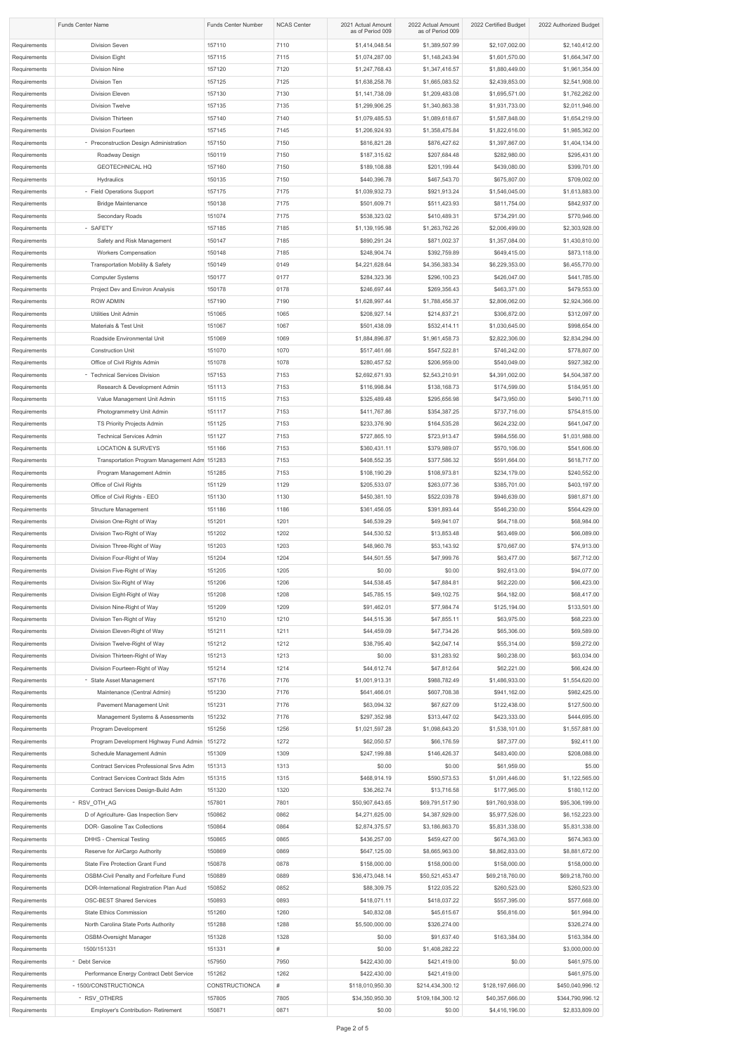| <b>Funds Center Name</b>     |                                                                   | <b>Funds Center Number</b> | <b>NCAS Center</b> | 2021 Actual Amount<br>as of Period 009 | 2022 Actual Amount<br>as of Period 009 | 2022 Certified Budget            | 2022 Authorized Budget           |
|------------------------------|-------------------------------------------------------------------|----------------------------|--------------------|----------------------------------------|----------------------------------------|----------------------------------|----------------------------------|
| Requirements                 | <b>Division Seven</b>                                             | 157110                     | 7110               | \$1,414,048.54                         | \$1,389,507.99                         | \$2,107,002.00                   | \$2,140,412.00                   |
| Requirements                 | <b>Division Eight</b>                                             | 157115                     | 7115               | \$1,074,287.00                         | \$1,148,243.94                         | \$1,601,570.00                   | \$1,664,347.00                   |
| Requirements                 | <b>Division Nine</b>                                              | 157120                     | 7120               | \$1,247,768.43                         | \$1,347,416.57                         | \$1,880,449.00                   | \$1,961,354.00                   |
| Requirements                 | Division Ten                                                      | 157125                     | 7125               | \$1,638,258.76                         | \$1,665,083.52                         | \$2,439,853.00                   | \$2,541,908.00                   |
| Requirements                 | Division Eleven                                                   | 157130                     | 7130               | \$1,141,738.09                         | \$1,209,483.08                         | \$1,695,571.00                   | \$1,762,262.00                   |
| Requirements                 | <b>Division Twelve</b>                                            | 157135                     | 7135               | \$1,299,906.25                         | \$1,340,863.38                         | \$1,931,733.00                   | \$2,011,946.00                   |
| Requirements                 | Division Thirteen                                                 | 157140                     | 7140               | \$1,079,485.53                         | \$1,089,618.67                         | \$1,587,848.00                   | \$1,654,219.00                   |
| Requirements                 | Division Fourteen                                                 | 157145                     | 7145               | \$1,206,924.93                         | \$1,358,475.84                         | \$1,822,616.00                   | \$1,985,362.00                   |
| Requirements<br>Requirements | - Preconstruction Design Administration<br>Roadway Design         | 157150<br>150119           | 7150<br>7150       | \$816,821.28<br>\$187,315.62           | \$876,427.62<br>\$207,684.48           | \$1,397,867.00<br>\$282,980.00   | \$1,404,134.00<br>\$295,431.00   |
| Requirements                 | <b>GEOTECHNICAL HQ</b>                                            | 157160                     | 7150               | \$189,108.88                           | \$201,199.44                           | \$439,080.00                     | \$399,701.00                     |
| Requirements                 | Hydraulics                                                        | 150135                     | 7150               | \$440,396.78                           | \$467,543.70                           | \$675,807.00                     | \$709,002.00                     |
| Requirements                 | - Field Operations Support                                        | 157175                     | 7175               | \$1,039,932.73                         | \$921,913.24                           | \$1,546,045.00                   | \$1,613,883.00                   |
| Requirements                 | <b>Bridge Maintenance</b>                                         | 150138                     | 7175               | \$501,609.71                           | \$511,423.93                           | \$811,754.00                     | \$842,937.00                     |
| Requirements                 | Secondary Roads                                                   | 151074                     | 7175               | \$538,323.02                           | \$410,489.31                           | \$734,291.00                     | \$770,946.00                     |
| Requirements                 | - SAFETY                                                          | 157185                     | 7185               | \$1,139,195.98                         | \$1,263,762.26                         | \$2,006,499.00                   | \$2,303,928.00                   |
| Requirements                 | Safety and Risk Management                                        | 150147                     | 7185               | \$890,291.24                           | \$871,002.37                           | \$1,357,084.00                   | \$1,430,810.00                   |
| Requirements                 | <b>Workers Compensation</b>                                       | 150148                     | 7185               | \$248,904.74                           | \$392,759.89                           | \$649,415.00                     | \$873,118.00                     |
| Requirements                 | <b>Transportation Mobility &amp; Safety</b>                       | 150149                     | 0149               | \$4,221,628.64                         | \$4,356,383.34                         | \$6,229,353.00                   | \$6,455,770.00                   |
| Requirements                 | <b>Computer Systems</b>                                           | 150177                     | 0177               | \$284,323.36                           | \$296,100.23                           | \$426,047.00                     | \$441,785.00                     |
| Requirements                 | Project Dev and Environ Analysis                                  | 150178                     | 0178               | \$246,697.44                           | \$269,356.43                           | \$463,371.00                     | \$479,553.00                     |
| Requirements                 | <b>ROW ADMIN</b>                                                  | 157190                     | 7190               | \$1,628,997.44                         | \$1,788,456.37                         | \$2,806,062.00                   | \$2,924,366.00                   |
| Requirements                 | Utilities Unit Admin                                              | 151065                     | 1065               | \$208,927.14                           | \$214,837.21                           | \$306,872.00                     | \$312,097.00                     |
| Requirements<br>Requirements | Materials & Test Unit<br>Roadside Environmental Unit              | 151067<br>151069           | 1067<br>1069       | \$501,438.09<br>\$1,884,896.87         | \$532,414.11<br>\$1,961,458.73         | \$1,030,645.00<br>\$2,822,306.00 | \$998,654.00<br>\$2,834,294.00   |
| Requirements                 | <b>Construction Unit</b>                                          | 151070                     | 1070               | \$517,461.66                           | \$547,522.81                           | \$746,242.00                     | \$778,807.00                     |
| Requirements                 | Office of Civil Rights Admin                                      | 151078                     | 1078               | \$280,457.52                           | \$206,959.00                           | \$540,049.00                     | \$927,382.00                     |
| Requirements                 | - Technical Services Division                                     | 157153                     | 7153               | \$2,692,671.93                         | \$2,543,210.91                         | \$4,391,002.00                   | \$4,504,387.00                   |
| Requirements                 | Research & Development Admin                                      | 151113                     | 7153               | \$116,998.84                           | \$138,168.73                           | \$174,599.00                     | \$184,951.00                     |
| Requirements                 | Value Management Unit Admin                                       | 151115                     | 7153               | \$325,489.48                           | \$295,656.98                           | \$473,950.00                     | \$490,711.00                     |
| Requirements                 | Photogrammetry Unit Admin                                         | 151117                     | 7153               | \$411,767.86                           | \$354,387.25                           | \$737,716.00                     | \$754,815.00                     |
| Requirements                 | TS Priority Projects Admin                                        | 151125                     | 7153               | \$233,376.90                           | \$164,535.28                           | \$624,232.00                     | \$641,047.00                     |
| Requirements                 | <b>Technical Services Admin</b>                                   | 151127                     | 7153               | \$727,865.10                           | \$723,913.47                           | \$984,556.00                     | \$1,031,988.00                   |
| Requirements                 | <b>LOCATION &amp; SURVEYS</b>                                     | 151166                     | 7153               | \$360,431.11                           | \$379,989.07                           | \$570,106.00                     | \$541,606.00                     |
| Requirements                 | Transportation Program Management Adm 151283                      |                            | 7153               | \$408,552.35                           | \$377,586.32                           | \$591,664.00                     | \$618,717.00                     |
| Requirements                 | Program Management Admin                                          | 151285                     | 7153               | \$108,190.29                           | \$108,973.81                           | \$234,179.00                     | \$240,552.00                     |
| Requirements                 | Office of Civil Rights                                            | 151129                     | 1129               | \$205,533.07                           | \$263,077.36                           | \$385,701.00                     | \$403,197.00                     |
| Requirements                 | Office of Civil Rights - EEO                                      | 151130<br>151186           | 1130<br>1186       | \$450,381.10                           | \$522,039.78                           | \$946,639.00                     | \$981,871.00                     |
| Requirements<br>Requirements | <b>Structure Management</b><br>Division One-Right of Way          | 151201                     | 1201               | \$361,456.05<br>\$46,539.29            | \$391,893.44<br>\$49,941.07            | \$546,230.00<br>\$64,718.00      | \$564,429.00<br>\$68,984.00      |
| Requirements                 | Division Two-Right of Way                                         | 151202                     | 1202               | \$44,530.52                            | \$13,853.48                            | \$63,469.00                      | \$66,089.00                      |
| Requirements                 | Division Three-Right of Way                                       | 151203                     | 1203               | \$48,960.76                            | \$53,143.92                            | \$70,667.00                      | \$74,913.00                      |
| Requirements                 | Division Four-Right of Way                                        | 151204                     | 1204               | \$44,501.55                            | \$47,999.76                            | \$63,477.00                      | \$67,712.00                      |
| Requirements                 | Division Five-Right of Way                                        | 151205                     | 1205               | \$0.00                                 | \$0.00                                 | \$92,613.00                      | \$94,077.00                      |
| Requirements                 | Division Six-Right of Way                                         | 151206                     | 1206               | \$44,538.45                            | \$47,884.81                            | \$62,220.00                      | \$66,423.00                      |
| Requirements                 | Division Eight-Right of Way                                       | 151208                     | 1208               | \$45,785.15                            | \$49,102.75                            | \$64,182.00                      | \$68,417.00                      |
| Requirements                 | Division Nine-Right of Way                                        | 151209                     | 1209               | \$91,462.01                            | \$77,984.74                            | \$125,194.00                     | \$133,501.00                     |
| Requirements                 | Division Ten-Right of Way                                         | 151210                     | 1210               | \$44,515.36                            | \$47,855.11                            | \$63,975.00                      | \$68,223.00                      |
| Requirements                 | Division Eleven-Right of Way                                      | 151211                     | 1211               | \$44,459.09                            | \$47,734.26                            | \$65,306.00                      | \$69,589.00                      |
| Requirements                 | Division Twelve-Right of Way                                      | 151212                     | 1212               | \$38,795.40                            | \$42,047.14                            | \$55,314.00                      | \$59,272.00                      |
| Requirements                 | Division Thirteen-Right of Way                                    | 151213                     | 1213               | \$0.00                                 | \$31,283.92                            | \$60,238.00                      | \$63,034.00                      |
| Requirements                 | Division Fourteen-Right of Way                                    | 151214<br>157176           | 1214<br>7176       | \$44,612.74<br>\$1,001,913.31          | \$47,812.64<br>\$988,782.49            | \$62,221.00<br>\$1,486,933.00    | \$66,424.00<br>\$1,554,620.00    |
| Requirements<br>Requirements | - State Asset Management<br>Maintenance (Central Admin)           | 151230                     | 7176               | \$641,466.01                           | \$607,708.38                           | \$941,162.00                     | \$982,425.00                     |
| Requirements                 | Pavement Management Unit                                          | 151231                     | 7176               | \$63,094.32                            | \$67,627.09                            | \$122,438.00                     | \$127,500.00                     |
| Requirements                 | Management Systems & Assessments                                  | 151232                     | 7176               | \$297,352.98                           | \$313,447.02                           | \$423,333.00                     | \$444,695.00                     |
| Requirements                 | Program Development                                               | 151256                     | 1256               | \$1,021,597.28                         | \$1,098,643.20                         | \$1,538,101.00                   | \$1,557,881.00                   |
| Requirements                 | Program Development Highway Fund Admin 151272                     |                            | 1272               | \$62,050.57                            | \$66,176.59                            | \$87,377.00                      | \$92,411.00                      |
| Requirements                 | Schedule Management Admin                                         | 151309                     | 1309               | \$247,199.88                           | \$146,426.37                           | \$483,400.00                     | \$208,088.00                     |
| Requirements                 | Contract Services Professional Srvs Adm                           | 151313                     | 1313               | \$0.00                                 | \$0.00                                 | \$61,959.00                      | \$5.00                           |
| Requirements                 | Contract Services Contract Stds Adm                               | 151315                     | 1315               | \$468,914.19                           | \$590,573.53                           | \$1,091,446.00                   | \$1,122,565.00                   |
| Requirements                 | Contract Services Design-Build Adm                                | 151320                     | 1320               | \$36,262.74                            | \$13,716.58                            | \$177,965.00                     | \$180,112.00                     |
| Requirements                 | - RSV_OTH_AG                                                      | 157801                     | 7801               | \$50,907,643.65                        | \$69,791,517.90                        | \$91,760,938.00                  | \$95,306,199.00                  |
| Requirements                 | D of Agriculture- Gas Inspection Serv                             | 150862                     | 0862               | \$4,271,625.00                         | \$4,387,929.00                         | \$5,977,526.00                   | \$6,152,223.00                   |
| Requirements<br>Requirements | DOR- Gasoline Tax Collections<br><b>DHHS - Chemical Testing</b>   | 150864<br>150865           | 0864<br>0865       | \$2,874,375.57<br>\$436,257.00         | \$3,186,863.70<br>\$459,427.00         | \$5,831,338.00<br>\$674,363.00   | \$5,831,338.00<br>\$674,363.00   |
| Requirements                 | Reserve for AirCargo Authority                                    | 150869                     | 0869               | \$647,125.00                           | \$8,665,963.00                         | \$8,862,833.00                   | \$8,881,672.00                   |
| Requirements                 | State Fire Protection Grant Fund                                  | 150878                     | 0878               | \$158,000.00                           | \$158,000.00                           | \$158,000.00                     | \$158,000.00                     |
| Requirements                 | OSBM-Civil Penalty and Forfeiture Fund                            | 150889                     | 0889               | \$36,473,048.14                        | \$50,521,453.47                        | \$69,218,760.00                  | \$69,218,760.00                  |
| Requirements                 | DOR-International Registration Plan Aud                           | 150852                     | 0852               | \$88,309.75                            | \$122,035.22                           | \$260,523.00                     | \$260,523.00                     |
| Requirements                 | <b>OSC-BEST Shared Services</b>                                   | 150893                     | 0893               | \$418,071.11                           | \$418,037.22                           | \$557,395.00                     | \$577,668.00                     |
| Requirements                 | <b>State Ethics Commission</b>                                    | 151260                     | 1260               | \$40,832.08                            | \$45,615.67                            | \$56,816.00                      | \$61,994.00                      |
| Requirements                 | North Carolina State Ports Authority                              | 151288                     | 1288               | \$5,500,000.00                         | \$326,274.00                           |                                  | \$326,274.00                     |
| Requirements                 | <b>OSBM-Oversight Manager</b>                                     | 151328                     | 1328               | \$0.00                                 | \$91,637.40                            | \$163,384.00                     | \$163,384.00                     |
| Requirements                 | 1500/151331                                                       | 151331                     | #                  | \$0.00                                 | \$1,408,282.22                         |                                  | \$3,000,000.00                   |
| Requirements                 | - Debt Service                                                    | 157950                     | 7950               | \$422,430.00                           | \$421,419.00                           | \$0.00                           | \$461,975.00                     |
| Requirements<br>Requirements | Performance Energy Contract Debt Service<br>- 1500/CONSTRUCTIONCA | 151262<br>CONSTRUCTIONCA   | 1262<br>#          | \$422,430.00<br>\$118,010,950.30       | \$421,419.00<br>\$214,434,300.12       | \$128,197,666.00                 | \$461,975.00<br>\$450,040,996.12 |
| Requirements                 | - RSV OTHERS                                                      | 157805                     | 7805               | \$34,350,950.30                        | \$109,184,300.12                       | \$40,357,666.00                  | \$344,790,996.12                 |
| Requirements                 | <b>Employer's Contribution- Retirement</b>                        | 150871                     | 0871               | \$0.00                                 | \$0.00                                 | \$4,416,196.00                   | \$2,833,809.00                   |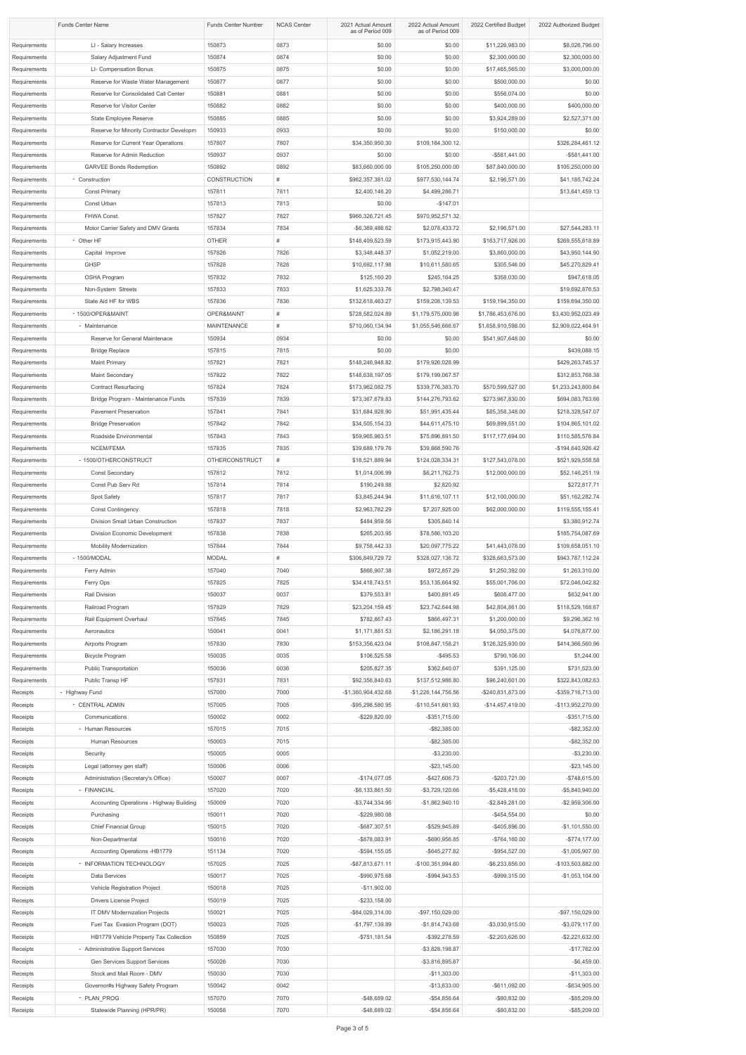| <b>Funds Center Name</b>     |                                                                    | <b>Funds Center Number</b> | <b>NCAS Center</b> | 2021 Actual Amount<br>as of Period 009 | 2022 Actual Amount<br>as of Period 009 | 2022 Certified Budget               | 2022 Authorized Budget                |
|------------------------------|--------------------------------------------------------------------|----------------------------|--------------------|----------------------------------------|----------------------------------------|-------------------------------------|---------------------------------------|
| Requirements<br>Requirements | LI - Salary Increases<br>Salary Adjustment Fund                    | 150873<br>150874           | 0873<br>0874       | \$0.00<br>\$0.00                       | \$0.00<br>\$0.00                       | \$11,226,983.00<br>\$2,300,000.00   | \$8,026,796.00<br>\$2,300,000.00      |
| Requirements                 | LI- Compensation Bonus                                             | 150875                     | 0875               | \$0.00                                 | \$0.00                                 | \$17,465,565.00                     | \$3,000,000.00                        |
| Requirements                 | Reserve for Waste Water Management                                 | 150877                     | 0877               | \$0.00                                 | \$0.00                                 | \$500,000.00                        | \$0.00                                |
| Requirements                 | Reserve for Consolidated Call Center                               | 150881                     | 0881               | \$0.00                                 | \$0.00                                 | \$556,074.00                        | \$0.00                                |
| Requirements                 | Reserve for Visitor Center                                         | 150882                     | 0882               | \$0.00                                 | \$0.00                                 | \$400,000.00                        | \$400,000.00                          |
| Requirements                 | State Employee Reserve                                             | 150885                     | 0885               | \$0.00                                 | \$0.00                                 | \$3,924,289.00                      | \$2,527,371.00                        |
| Requirements                 | Reserve for Minority Contractor Developm                           | 150933                     | 0933               | \$0.00                                 | \$0.00                                 | \$150,000.00                        | \$0.00                                |
| Requirements                 | Reserve for Current Year Operations                                | 157807                     | 7807               | \$34,350,950.30                        | \$109,184,300.12                       |                                     | \$326,284,461.12                      |
| Requirements                 | Reserve for Admin Reduction                                        | 150937                     | 0937               | \$0.00                                 | \$0.00                                 | $-$ \$581,441.00                    | $-$ \$581,441.00                      |
| Requirements                 | <b>GARVEE Bonds Redemption</b>                                     | 150892                     | 0892               | \$83,660,000.00                        | \$105,250,000.00                       | \$87,840,000.00                     | \$105,250,000.00                      |
| Requirements                 | - Construction                                                     | <b>CONSTRUCTION</b>        | #                  | \$962,357,381.02                       | \$977,530,144.74                       | \$2,196,571.00                      | \$41,185,742.24                       |
| Requirements                 | <b>Const Primary</b>                                               | 157811                     | 7811               | \$2,400,146.20                         | \$4,499,286.71                         |                                     | \$13,641,459.13                       |
| Requirements                 | Const Urban                                                        | 157813                     | 7813               | \$0.00                                 | $-$147.01$                             |                                     |                                       |
| Requirements<br>Requirements | FHWA Const.<br>Motor Carrier Safety and DMV Grants                 | 157827<br>157834           | 7827<br>7834       | \$966,326,721.45<br>-\$6,369,486.62    | \$970,952,571.32<br>\$2,078,433.72     | \$2,196,571.00                      | \$27,544,283.11                       |
| Requirements                 | - Other HF                                                         | <b>OTHER</b>               | #                  | \$148,409,523.59                       | \$173,915,443.90                       | \$163,717,926.00                    | \$269,555,818.89                      |
| Requirements                 | Capital Improve                                                    | 157826                     | 7826               | \$3,348,448.37                         | \$1,052,219.00                         | \$3,860,000.00                      | \$43,950,144.90                       |
| Requirements                 | <b>GHSP</b>                                                        | 157828                     | 7828               | \$10,692,117.98                        | \$10,611,580.65                        | \$305,546.00                        | \$45,270,829.41                       |
| Requirements                 | OSHA Program                                                       | 157832                     | 7832               | \$125,160.20                           | \$245,164.25                           | \$358,030.00                        | \$947,618.05                          |
| Requirements                 | Non-System Streets                                                 | 157833                     | 7833               | \$1,625,333.76                         | \$2,798,340.47                         |                                     | \$19,692,876.53                       |
| Requirements                 | State Aid HF for WBS                                               | 157836                     | 7836               | \$132,618,463.27                       | \$159,208,139.53                       | \$159,194,350.00                    | \$159,694,350.00                      |
| Requirements                 | - 1500/OPER&MAINT                                                  | OPER&MAINT                 | #                  | \$728,582,024.89                       | \$1,179,575,000.98                     | \$1,786,453,676.00                  | \$3,430,952,023.49                    |
| Requirements                 | - Maintenance                                                      | <b>MAINTENANCE</b>         | #                  | \$710,060,134.94                       | \$1,055,546,666.67                     | \$1,658,910,598.00                  | \$2,909,022,464.91                    |
| Requirements                 | Reserve for General Maintenace                                     | 150934                     | 0934               | \$0.00                                 | \$0.00                                 | \$541,907,648.00                    | \$0.00                                |
| Requirements                 | <b>Bridge Replace</b>                                              | 157815                     | 7815               | \$0.00                                 | \$0.00                                 |                                     | \$439,088.15                          |
| Requirements                 | <b>Maint Primary</b>                                               | 157821                     | 7821               | \$148,246,948.82                       | \$179,926,028.99                       |                                     | \$429,263,745.37                      |
| Requirements                 | Maint Secondary                                                    | 157822                     | 7822               | \$148,638,197.05                       | \$179,199,067.57                       |                                     | \$312,853,768.38                      |
| Requirements                 | <b>Contract Resurfacing</b>                                        | 157824<br>157839           | 7824<br>7839       | \$173,962,082.75                       | \$339,776,383.70                       | \$570,599,527.00                    | \$1,233,243,800.84                    |
| Requirements<br>Requirements | Bridge Program - Maintenance Funds<br><b>Pavement Preservation</b> | 157841                     | 7841               | \$73,367,679.83<br>\$31,684,928.90     | \$144,276,793.62<br>\$51,991,435.44    | \$273,967,830.00<br>\$85,358,348.00 | \$694,083,763.66<br>\$218,328,547.07  |
| Requirements                 | <b>Bridge Preservation</b>                                         | 157842                     | 7842               | \$34,505,154.33                        | \$44,611,475.10                        | \$69,899,551.00                     | \$104,865,101.02                      |
| Requirements                 | Roadside Environmental                                             | 157843                     | 7843               | \$59,965,963.51                        | \$75,896,891.50                        | \$117,177,694.00                    | \$110,585,576.84                      |
| Requirements                 | NCEM/FEMA                                                          | 157835                     | 7835               | \$39,689,179.76                        | \$39,868,590.76                        |                                     | -\$194,640,926.42                     |
| Requirements                 | - 1500/OTHERCONSTRUCT                                              | <b>OTHERCONSTRUCT</b>      | #                  | \$18,521,889.94                        | \$124,028,334.31                       | \$127,543,078.00                    | \$521,929,558.58                      |
| Requirements                 | <b>Const Secondary</b>                                             | 157812                     | 7812               | \$1,014,006.99                         | \$6,211,762.73                         | \$12,000,000.00                     | \$52,146,251.19                       |
| Requirements                 | Const Pub Serv Rd                                                  | 157814                     | 7814               | \$190,249.88                           | \$2,820.92                             |                                     | \$272,817.71                          |
| Requirements                 | Spot Safety                                                        | 157817                     | 7817               | \$3,845,244.94                         | \$11,616,107.11                        | \$12,100,000.00                     | \$51,162,282.74                       |
| Requirements                 | <b>Const Contingency</b>                                           | 157818                     | 7818               | \$2,963,782.29                         | \$7,207,925.00                         | \$62,000,000.00                     | \$119,555,155.41                      |
| Requirements                 | Division Small Urban Construction                                  | 157837                     | 7837               | \$484,959.56                           | \$305,840.14                           |                                     | \$3,380,912.74                        |
| Requirements                 | Division Economic Development                                      | 157838                     | 7838               | \$265,203.95                           | \$78,586,103.20                        |                                     | \$185,754,087.69                      |
| Requirements                 | <b>Mobility Modernization</b>                                      | 157844                     | 7844               | \$9,758,442.33                         | \$20,097,775.22                        | \$41,443,078.00                     | \$109,658,051.10                      |
| Requirements<br>Requirements | - 1500/MODAL<br>Ferry Admin                                        | <b>MODAL</b><br>157040     | #<br>7040          | \$306,849,729.72<br>\$866,907.38       | \$328,027,136.72<br>\$972,857.29       | \$328,663,573.00<br>\$1,250,392.00  | \$943,787,112.24<br>\$1,263,310.00    |
| Requirements                 | Ferry Ops                                                          | 157825                     | 7825               | \$34,418,743.51                        | \$53,135,664.92                        | \$55,001,706.00                     | \$72,046,042.82                       |
| Requirements                 | Rail Division                                                      | 150037                     | 0037               | \$379,553.81                           | \$400,891.49                           | \$608,477.00                        | \$632,941.00                          |
| Requirements                 | Railroad Program                                                   | 157829                     | 7829               | \$23,204,159.45                        | \$23,742,644.98                        | \$42,804,861.00                     | \$118,529,168.67                      |
| Requirements                 | Rail Equipment Overhaul                                            | 157845                     | 7845               | \$782,867.43                           | \$866,497.31                           | \$1,200,000.00                      | \$9,296,362.16                        |
| Requirements                 | Aeronautics                                                        | 150041                     | 0041               | \$1,171,881.53                         | \$2,186,291.18                         | \$4,050,375.00                      | \$4,076,877.00                        |
| Requirements                 | Airports Program                                                   | 157830                     | 7830               | \$153,356,423.04                       | \$108,847,158.21                       | \$126,325,930.00                    | \$414,366,560.96                      |
| Requirements                 | <b>Bicycle Program</b>                                             | 150035                     | 0035               | \$106,525.58                           | $-$ \$495.53                           | \$790,106.00                        | \$1,244.00                            |
| Requirements                 | <b>Public Transportation</b>                                       | 150036                     | 0036               | \$205,827.35                           | \$362,640.07                           | \$391,125.00                        | \$731,523.00                          |
| Requirements                 | Public Transp HF                                                   | 157831                     | 7831               | \$92,356,840.63                        | \$137,512,986.80                       | \$96,240,601.00                     | \$322,843,082.63                      |
| Receipts                     | - Highway Fund                                                     | 157000                     | 7000               | -\$1,360,904,432.68                    | $-$1,226,144,756.56$                   | -\$240,831,873.00                   | -\$359,716,713.00                     |
| Receipts                     | - CENTRAL ADMIN                                                    | 157005                     | 7005               | -\$95,298,580.95                       | -\$110,541,661.93                      | $-$14,457,419.00$                   | -\$113,952,270.00                     |
| Receipts<br>Receipts         | Communications<br>- Human Resources                                | 150002<br>157015           | 0002<br>7015       | -\$229,820.00                          | $-$ \$351,715.00<br>$-$ \$82,385.00    |                                     | $-$ \$351,715.00<br>$-$ \$82,352.00   |
| Receipts                     | Human Resources                                                    | 150003                     | 7015               |                                        | $-$ \$82,385.00                        |                                     | $-$ \$82,352.00                       |
| Receipts                     | Security                                                           | 150005                     | 0005               |                                        | $-$ \$3,230.00                         |                                     | $-$ \$3,230.00                        |
| Receipts                     | Legal (attorney gen staff)                                         | 150006                     | 0006               |                                        | $-$ \$23,145.00                        |                                     | $-$ \$23,145.00                       |
| Receipts                     | Administration (Secretary's Office)                                | 150007                     | 0007               | $-$174,077.05$                         | $-$ \$427,606.73                       | $-$203,721.00$                      | $-$ \$748,615.00                      |
| Receipts                     | - FINANCIAL                                                        | 157020                     | 7020               | $-$ \$6,133,861.50                     | -\$3,729,120.66                        | $-$ \$5,428,418.00                  | -\$5,840,940.00                       |
| Receipts                     | Accounting Operations - Highway Building                           | 150009                     | 7020               | $-$ \$3,744,334.95                     | $-$1,862,940.10$                       | $-$ \$2,849,281.00                  | $-$ \$2,959,306.00                    |
| Receipts                     | Purchasing                                                         | 150011                     | 7020               | $-$229,980.08$                         |                                        | $-$ \$454,554.00                    | \$0.00                                |
| Receipts                     | <b>Chief Financial Group</b>                                       | 150015                     | 7020               | -\$687,307.51                          | -\$529,945.89                          | -\$405,896.00                       | $-$1,101,550.00$                      |
| Receipts                     | Non-Departmental                                                   | 150016                     | 7020               | -\$878,083.91                          | -\$690,956.85                          | $-$764,160.00$                      | $-$ \$774,177.00                      |
| Receipts                     | Accounting Operations -HB1779                                      | 151134                     | 7020               | $-$ \$594,155.05                       | $-$ \$645,277.82                       | -\$954,527.00                       | $-$1,005,907.00$                      |
| Receipts                     | - INFORMATION TECHNOLOGY<br>Data Services                          | 157025<br>150017           | 7025<br>7025       | -\$87,813,671.11                       | -\$100,351,994.80                      | -\$6,233,856.00                     | -\$103,503,882.00<br>$-$1,053,104.00$ |
| Receipts<br>Receipts         | Vehicle Registration Project                                       | 150018                     | 7025               | -\$990,975.68<br>$-$11,902.00$         | $-$ \$994,943.53                       | -\$999,315.00                       |                                       |
| Receipts                     | <b>Drivers License Project</b>                                     | 150019                     | 7025               | $-$ \$233,158.00                       |                                        |                                     |                                       |
| Receipts                     | IT DMV Modernization Projects                                      | 150021                     | 7025               | -\$84,029,314.00                       | -\$97,150,029.00                       |                                     | -\$97,150,029.00                      |
| Receipts                     | Fuel Tax Evasion Program (DOT)                                     | 150023                     | 7025               | -\$1,797,139.89                        | $-$1,814,743.68$                       | -\$3,030,915.00                     | $-$ \$3,079,117.00                    |
| Receipts                     | HB1779 Vehicle Property Tax Collection                             | 150859                     | 7025               | $-$ \$751,181.54                       | $-$ \$392,278.59                       | $-$ \$2,203,626.00                  | $-$ \$2,221,632.00                    |
| Receipts                     | - Administrative Support Services                                  | 157030                     | 7030               |                                        | $-$ \$3,828,198.87                     |                                     | $-$17,762.00$                         |
| Receipts                     | Gen Services Support Services                                      | 150026                     | 7030               |                                        | $-$ \$3,816,895.87                     |                                     | $-$ \$6,459.00                        |
| Receipts                     | Stock and Mail Room - DMV                                          | 150030                     | 7030               |                                        | $-$11,303.00$                          |                                     | $-$11,303.00$                         |
| Receipts                     | Governor#s Highway Safety Program                                  | 150042                     | 0042               |                                        | $-$13,633.00$                          | $-$ \$611,092.00                    | -\$634,905.00                         |
| Receipts                     | - PLAN PROG                                                        | 157070                     | 7070               | $-$ \$48,689.02                        | $-$ \$54,856.64                        | -\$80,832.00                        | -\$85,209.00                          |
| Receipts                     | Statewide Planning (HPR/PR)                                        | 150058                     | 7070               | $-$ \$48,689.02                        | $-$54,856.64$                          | $-$ \$80,832.00                     | -\$85,209.00                          |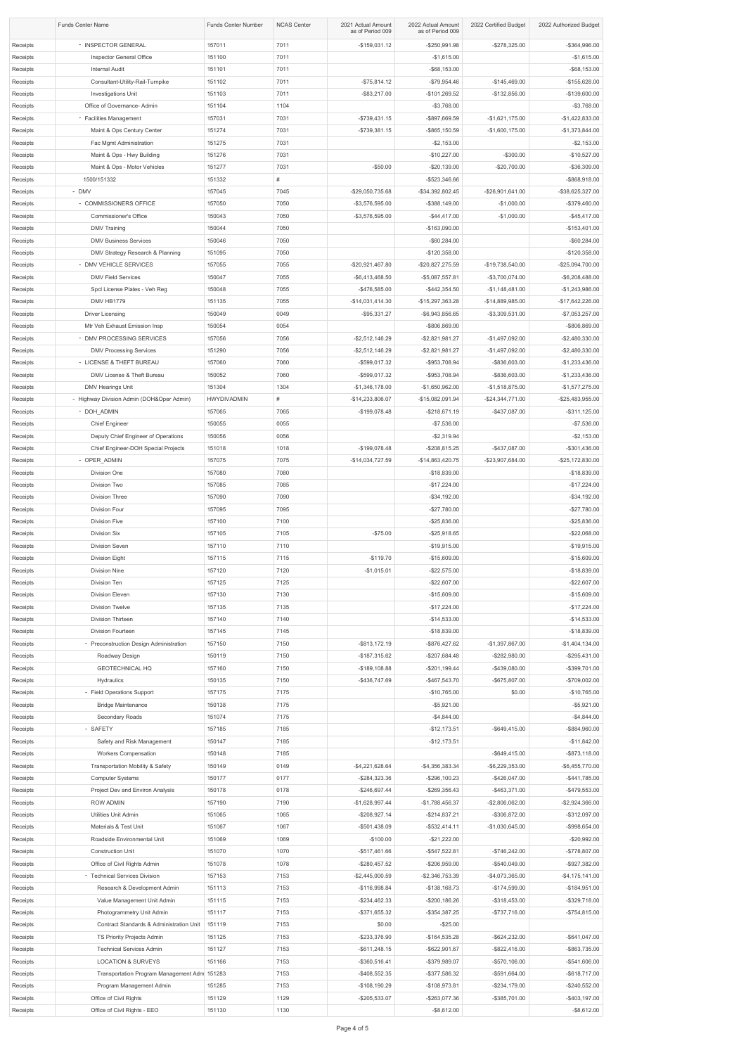| <b>Funds Center Name</b> |                                                                       | <b>Funds Center Number</b> | <b>NCAS Center</b> | 2021 Actual Amount<br>as of Period 009 | 2022 Actual Amount<br>as of Period 009 | 2022 Certified Budget               | 2022 Authorized Budget               |
|--------------------------|-----------------------------------------------------------------------|----------------------------|--------------------|----------------------------------------|----------------------------------------|-------------------------------------|--------------------------------------|
| Receipts                 | - INSPECTOR GENERAL                                                   | 157011                     | 7011               | $-$159,031.12$                         | $-$250,991.98$                         | $-$ \$278,325.00                    | -\$364,996.00                        |
| Receipts                 | Inspector General Office                                              | 151100                     | 7011               |                                        | $-$1,615.00$                           |                                     | $-$1,615.00$                         |
| Receipts                 | <b>Internal Audit</b>                                                 | 151101                     | 7011               |                                        | $-$ \$68,153.00                        |                                     | $-$ \$68,153.00                      |
| Receipts<br>Receipts     | Consultant-Utility-Rail-Turnpike<br>Investigations Unit               | 151102<br>151103           | 7011<br>7011       | $-$75,814.12$<br>$-$ \$83,217.00       | $-$79,954.46$<br>-\$101,269.52         | $-$145,469.00$<br>$-$132,856.00$    | $-$155,628.00$<br>$-$139,600.00$     |
| Receipts                 | Office of Governance- Admin                                           | 151104                     | 1104               |                                        | $-$3,768.00$                           |                                     | $-$3,768.00$                         |
| Receipts                 | - Facilities Management                                               | 157031                     | 7031               | $-$739,431.15$                         | -\$897,669.59                          | $-$1,621,175.00$                    | $-$1,422,833.00$                     |
| Receipts                 | Maint & Ops Century Center                                            | 151274                     | 7031               | $-$739,381.15$                         | -\$865,150.59                          | $-$1,600,175.00$                    | $-$1,373,844.00$                     |
| Receipts                 | Fac Mgmt Administration                                               | 151275                     | 7031               |                                        | $-$2,153.00$                           |                                     | $-$ \$2,153.00                       |
| Receipts                 | Maint & Ops - Hwy Building                                            | 151276                     | 7031               |                                        | $-$10,227.00$                          | $-$ \$300.00                        | $-$10,527.00$                        |
| Receipts<br>Receipts     | Maint & Ops - Motor Vehicles<br>1500/151332                           | 151277<br>151332           | 7031<br>#          | $-$ \$50.00                            | $-$20,139.00$<br>-\$523,346.66         | $-$20,700.00$                       | $-$36,309.00$<br>-\$868,918.00       |
| Receipts                 | - DMV                                                                 | 157045                     | 7045               | -\$29,050,735.68                       | -\$34,392,802.45                       | $-$ \$26,901,641.00                 | -\$38,625,327.00                     |
| Receipts                 | - COMMISSIONERS OFFICE                                                | 157050                     | 7050               | $-$ \$3,576,595.00                     | $-$ \$388,149.00                       | $-$1,000.00$                        | -\$379,460.00                        |
| Receipts                 | <b>Commissioner's Office</b>                                          | 150043                     | 7050               | $-$ \$3,576,595.00                     | $-$44,417.00$                          | $-$1,000.00$                        | $-$45,417.00$                        |
| Receipts                 | <b>DMV Training</b>                                                   | 150044                     | 7050               |                                        | $-$163,090.00$                         |                                     | $-$153,401.00$                       |
| Receipts                 | <b>DMV Business Services</b>                                          | 150046                     | 7050               |                                        | $-$60,284.00$                          |                                     | $-$ \$60,284.00                      |
| Receipts                 | DMV Strategy Research & Planning                                      | 151095                     | 7050               |                                        | $-$120,358.00$                         |                                     | $-$120,358.00$                       |
| Receipts<br>Receipts     | - DMV VEHICLE SERVICES<br><b>DMV Field Services</b>                   | 157055<br>150047           | 7055<br>7055       | -\$20,921,467.80<br>$-$ \$6,413,468.50 | -\$20,827,275.59<br>-\$5,087,557.81    | -\$19,738,540.00<br>-\$3,700,074.00 | -\$25,094,700.00<br>-\$6,208,488.00  |
| Receipts                 | Spcl License Plates - Veh Reg                                         | 150048                     | 7055               | -\$476,585.00                          | $-$442,354.50$                         | $-$1,148,481.00$                    | $-$1,243,986.00$                     |
| Receipts                 | DMV HB1779                                                            | 151135                     | 7055               | $-$14,031,414.30$                      | -\$15,297,363.28                       | -\$14,889,985.00                    | -\$17,642,226.00                     |
| Receipts                 | <b>Driver Licensing</b>                                               | 150049                     | 0049               | $-$ \$95,331.27                        | -\$6,943,856.65                        | $-$ \$3,309,531.00                  | $-$7,053,257.00$                     |
| Receipts                 | Mtr Veh Exhaust Emission Insp                                         | 150054                     | 0054               |                                        | -\$806,869.00                          |                                     | -\$806,869.00                        |
| Receipts                 | - DMV PROCESSING SERVICES                                             | 157056                     | 7056               | $-$ \$2,512,146.29                     | $-$ \$2,821,981.27                     | $-$1,497,092.00$                    | $-$2,480,330.00$                     |
| Receipts                 | <b>DMV Processing Services</b>                                        | 151290                     | 7056               | $-$ \$2,512,146.29                     | $-$ \$2,821,981.27                     | $-$1,497,092.00$                    | $-$2,480,330.00$                     |
| Receipts<br>Receipts     | - LICENSE & THEFT BUREAU<br>DMV License & Theft Bureau                | 157060<br>150052           | 7060<br>7060       | $-$ \$599,017.32<br>$-$ \$599,017.32   | -\$953,708.94<br>-\$953,708.94         | -\$836,603.00<br>-\$836,603.00      | $-$1,233,436.00$<br>$-$1,233,436.00$ |
| Receipts                 | DMV Hearings Unit                                                     | 151304                     | 1304               | $-$1,346,178.00$                       | $-$1,650,962.00$                       | $-$1,518,875.00$                    | $-$1,577,275.00$                     |
| Receipts                 | - Highway Division Admin (DOH&Oper Admin)                             | <b>HWYDIVADMIN</b>         | #                  | -\$14,233,806.07                       | -\$15,082,091.94                       | $-$24,344,771.00$                   | -\$25,483,955.00                     |
| Receipts                 | - DOH ADMIN                                                           | 157065                     | 7065               | $-$199,078.48$                         | $-$ \$218,671.19                       | -\$437,087.00                       | $-$ \$311,125.00                     |
| Receipts                 | <b>Chief Engineer</b>                                                 | 150055                     | 0055               |                                        | $-$7,536.00$                           |                                     | $-$7,536.00$                         |
| Receipts                 | Deputy Chief Engineer of Operations                                   | 150056                     | 0056               |                                        | $-$2,319.94$                           |                                     | $-$ \$2,153.00                       |
| Receipts                 | Chief Engineer-DOH Special Projects                                   | 151018                     | 1018               | -\$199,078.48                          | $-$ \$208,815.25                       | $-$ \$437,087.00                    | $-$301,436.00$                       |
| Receipts<br>Receipts     | - OPER_ADMIN<br>Division One                                          | 157075<br>157080           | 7075<br>7080       | -\$14,034,727.59                       | -\$14,863,420.75<br>$-$18,839.00$      | -\$23,907,684.00                    | -\$25,172,830.00<br>$-$18,839.00$    |
| Receipts                 | Division Two                                                          | 157085                     | 7085               |                                        | $-$17,224.00$                          |                                     | $-$17,224.00$                        |
| Receipts                 | <b>Division Three</b>                                                 | 157090                     | 7090               |                                        | $-$ \$34,192.00                        |                                     | $-$34,192.00$                        |
| Receipts                 | Division Four                                                         | 157095                     | 7095               |                                        | $-$27,780.00$                          |                                     | $-$27,780.00$                        |
| Receipts                 | Division Five                                                         | 157100                     | 7100               |                                        | $-$ \$25,836.00                        |                                     | $-$25,836.00$                        |
| Receipts                 | Division Six                                                          | 157105                     | 7105               | $-$75.00$                              | $-$ \$25,918.65                        |                                     | $-$22,068.00$                        |
| Receipts<br>Receipts     | Division Seven<br>Division Eight                                      | 157110<br>157115           | 7110<br>7115       | $-$119.70$                             | $-$19,915.00$<br>$-$15,609.00$         |                                     | $-$19,915.00$<br>$-$15,609.00$       |
| Receipts                 | <b>Division Nine</b>                                                  | 157120                     | 7120               | $-$1,015.01$                           | $-$ \$22,575.00                        |                                     | $-$18,839.00$                        |
| Receipts                 | Division Ten                                                          | 157125                     | 7125               |                                        | $-$22,607.00$                          |                                     | $-$22,607.00$                        |
| Receipts                 | <b>Division Eleven</b>                                                | 157130                     | 7130               |                                        | $-$15,609.00$                          |                                     | $-$15,609.00$                        |
| Receipts                 | <b>Division Twelve</b>                                                | 157135                     | 7135               |                                        | $-$17,224.00$                          |                                     | $-$17,224.00$                        |
| Receipts                 | Division Thirteen                                                     | 157140                     | 7140               |                                        | $-$14,533.00$                          |                                     | $-$14,533.00$                        |
| Receipts                 | Division Fourteen                                                     | 157145                     | 7145<br>7150       | $-$ \$813,172.19                       | $-$18,839.00$                          | $-$1,397,867.00$                    | $-$18,839.00$                        |
| Receipts<br>Receipts     | - Preconstruction Design Administration<br>Roadway Design             | 157150<br>150119           | 7150               | $-$187,315.62$                         | -\$876,427.62<br>$-$207,684.48$        | $-$ \$282,980.00                    | $-$1,404,134.00$<br>$-$ \$295,431.00 |
| Receipts                 | <b>GEOTECHNICAL HQ</b>                                                | 157160                     | 7150               | $-$189,108.88$                         | $-$201,199.44$                         | $-$439,080.00$                      | -\$399,701.00                        |
| Receipts                 | <b>Hydraulics</b>                                                     | 150135                     | 7150               | -\$436,747.69                          | -\$467,543.70                          | -\$675,807.00                       | -\$709,002.00                        |
| Receipts                 | - Field Operations Support                                            | 157175                     | 7175               |                                        | $-$10,765.00$                          | \$0.00                              | $-$10,765.00$                        |
| Receipts                 | <b>Bridge Maintenance</b>                                             | 150138                     | 7175               |                                        | $-$5,921.00$                           |                                     | $-$5,921.00$                         |
| Receipts                 | Secondary Roads                                                       | 151074                     | 7175               |                                        | $-$4,844.00$                           |                                     | $-$4,844.00$                         |
| Receipts<br>Receipts     | - SAFETY<br>Safety and Risk Management                                | 157185<br>150147           | 7185<br>7185       |                                        | $-$12,173.51$<br>$-$12,173.51$         | $-$ \$649,415.00                    | -\$884,960.00<br>$-$11,842.00$       |
| Receipts                 | <b>Workers Compensation</b>                                           | 150148                     | 7185               |                                        |                                        | $-$ \$649,415.00                    | $-$ \$873,118.00                     |
| Receipts                 | <b>Transportation Mobility &amp; Safety</b>                           | 150149                     | 0149               | $-$4,221,628.64$                       | $-$4,356,383.34$                       | $-$ \$6,229,353.00                  | $-$ \$6,455,770.00                   |
| Receipts                 | <b>Computer Systems</b>                                               | 150177                     | 0177               | $-$ \$284,323.36                       | $-$ \$296,100.23                       | $-$ \$426,047.00                    | $-$441,785.00$                       |
| Receipts                 | Project Dev and Environ Analysis                                      | 150178                     | 0178               | $-$246,697.44$                         | $-$ \$269,356.43                       | $-$ \$463,371.00                    | -\$479,553.00                        |
| Receipts                 | <b>ROW ADMIN</b>                                                      | 157190                     | 7190               | $-$1,628,997.44$                       | $-$1,788,456.37$                       | $-$2,806,062.00$                    | $-$2,924,366.00$                     |
| Receipts                 | <b>Utilities Unit Admin</b>                                           | 151065                     | 1065               | $-$208,927.14$                         | $-$ \$214,837.21                       | -\$306,872.00                       | -\$312,097.00                        |
| Receipts<br>Receipts     | Materials & Test Unit<br>Roadside Environmental Unit                  | 151067<br>151069           | 1067<br>1069       | $-$501,438.09$<br>$-$100.00$           | $-$ \$532,414.11<br>$-$21,222.00$      | $-$1,030,645.00$                    | -\$998,654.00<br>$-$20,992.00$       |
| Receipts                 | <b>Construction Unit</b>                                              | 151070                     | 1070               | $-$ \$517,461.66                       | $-$547,522.81$                         | $-$746,242.00$                      | $-$778,807.00$                       |
| Receipts                 | Office of Civil Rights Admin                                          | 151078                     | 1078               | $-$ \$280,457.52                       | -\$206,959.00                          | -\$540,049.00                       | -\$927,382.00                        |
| Receipts                 | - Technical Services Division                                         | 157153                     | 7153               | $-$2,445,000.59$                       | $-$2,346,753.39$                       | $-$4,073,365.00$                    | $-$4,175,141.00$                     |
| Receipts                 | Research & Development Admin                                          | 151113                     | 7153               | -\$116,998.84                          | $-$138,168.73$                         | $-$174,599.00$                      | $-$184,951.00$                       |
| Receipts                 | Value Management Unit Admin                                           | 151115                     | 7153               | $-$ \$234,462.33                       | $-$ \$200,186.26                       | $-$ \$318,453.00                    | -\$329,718.00                        |
| Receipts<br>Receipts     | Photogrammetry Unit Admin<br>Contract Standards & Administration Unit | 151117<br>151119           | 7153<br>7153       | $-$ \$371,655.32<br>\$0.00             | $-$ \$354,387.25<br>$-$ \$25.00        | $-$ \$737,716.00                    | $-$754,815.00$                       |
| Receipts                 | TS Priority Projects Admin                                            | 151125                     | 7153               | -\$233,376.90                          | $-$164,535.28$                         | $-$ \$624,232.00                    | $-$ \$641,047.00                     |
| Receipts                 | <b>Technical Services Admin</b>                                       | 151127                     | 7153               | $-$ \$611,248.15                       | -\$622,901.67                          | $-$ \$822,416.00                    | -\$863,735.00                        |
| Receipts                 | <b>LOCATION &amp; SURVEYS</b>                                         | 151166                     | 7153               | -\$360,516.41                          | -\$379,989.07                          | $-$ \$570,106.00                    | -\$541,606.00                        |
| Receipts                 | Transportation Program Management Adm 151283                          |                            | 7153               | $-$ \$408,552.35                       | -\$377,586.32                          | -\$591,664.00                       | $-$ \$618,717.00                     |
| Receipts                 | Program Management Admin                                              | 151285                     | 7153               | -\$108,190.29                          | $-$108,973.81$                         | $-$ \$234,179.00                    | -\$240,552.00                        |
| Receipts<br>Receipts     | Office of Civil Rights<br>Office of Civil Rights - EEO                | 151129<br>151130           | 1129<br>1130       | -\$205,533.07                          | $-$ \$263,077.36<br>$-$ \$8,612.00     | -\$385,701.00                       | $-$403,197.00$<br>$-$ \$8,612.00     |
|                          |                                                                       |                            |                    |                                        |                                        |                                     |                                      |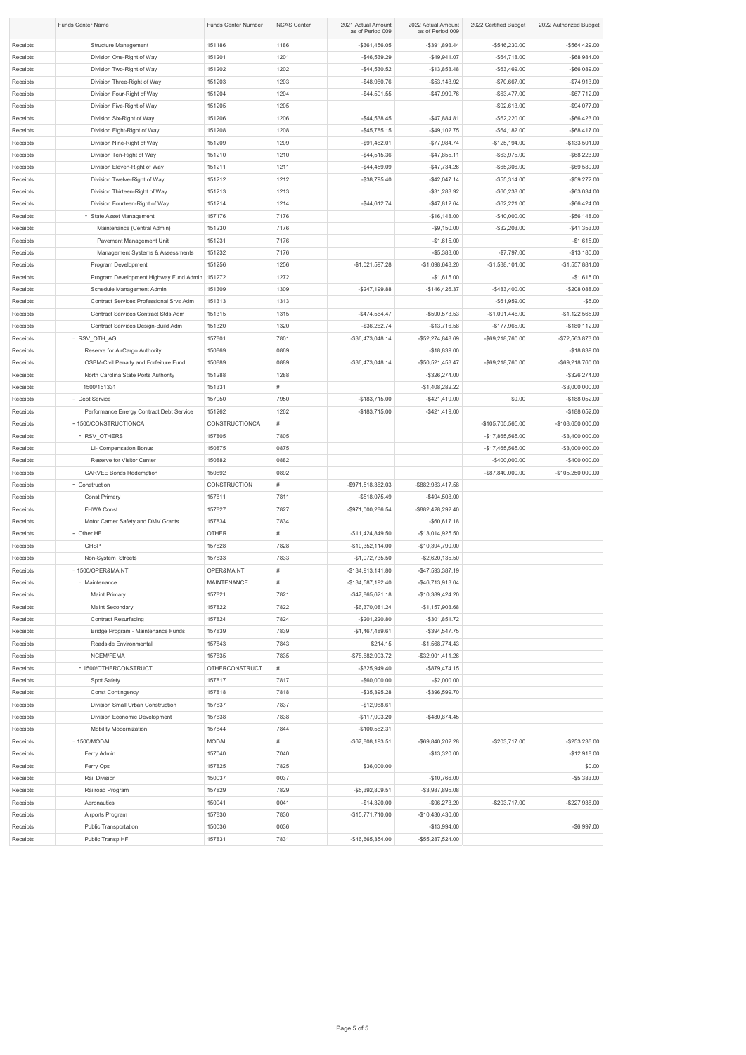|          | <b>Funds Center Name</b>                      | <b>Funds Center Number</b> | <b>NCAS Center</b> | 2021 Actual Amount<br>as of Period 009 | 2022 Actual Amount<br>as of Period 009 | 2022 Certified Budget | 2022 Authorized Budget |
|----------|-----------------------------------------------|----------------------------|--------------------|----------------------------------------|----------------------------------------|-----------------------|------------------------|
| Receipts | <b>Structure Management</b>                   | 151186                     | 1186               | $-$ \$361,456.05                       | $-$ \$391,893.44                       | -\$546,230.00         | -\$564,429.00          |
| Receipts | Division One-Right of Way                     | 151201                     | 1201               | $-$46,539.29$                          | $-$49,941.07$                          | $-$64,718.00$         | $-$ \$68,984.00        |
| Receipts | Division Two-Right of Way                     | 151202                     | 1202               | $-$ \$44,530.52                        | $-$13,853.48$                          | $-$ \$63,469.00       | $-$ \$66,089.00        |
| Receipts | Division Three-Right of Way                   | 151203                     | 1203               | $-$48,960.76$                          | $-$ \$53,143.92                        | $-$70,667.00$         | $-$74,913.00$          |
| Receipts | Division Four-Right of Way                    | 151204                     | 1204               | $-$44,501.55$                          | $-$47,999.76$                          | $-$ \$63,477.00       | $-$67,712.00$          |
| Receipts | Division Five-Right of Way                    | 151205                     | 1205               |                                        |                                        | $-$92,613.00$         | $-$94,077.00$          |
| Receipts | Division Six-Right of Way                     | 151206                     | 1206               | $-$44,538.45$                          | $-$ \$47,884.81                        | $-$ \$62,220.00       | $-$ \$66,423.00        |
| Receipts | Division Eight-Right of Way                   | 151208                     | 1208               | $-$45,785.15$                          | $-$ \$49,102.75                        | $-$ \$64,182.00       | $-$ \$68,417.00        |
| Receipts | Division Nine-Right of Way                    | 151209                     | 1209               | $-$91,462.01$                          | $-$77,984.74$                          | $-$125,194.00$        | $-$133,501.00$         |
| Receipts | Division Ten-Right of Way                     | 151210                     | 1210               | $-$ \$44,515.36                        | $-$47,855.11$                          | $-$ \$63,975.00       | $-$ \$68,223.00        |
| Receipts | Division Eleven-Right of Way                  | 151211                     | 1211               | $-$44,459.09$                          | $-$ \$47,734.26                        | $-$ \$65,306.00       | $-$ \$69,589.00        |
| Receipts | Division Twelve-Right of Way                  | 151212                     | 1212               | $-$ \$38,795.40                        | $-$ \$42,047.14                        | $-$ \$55,314.00       | $-$59,272.00$          |
| Receipts | Division Thirteen-Right of Way                | 151213                     | 1213               |                                        | $-$ \$31,283.92                        | $-$60,238.00$         | $-$ \$63,034.00        |
| Receipts | Division Fourteen-Right of Way                | 151214                     | 1214               | $-$44,612.74$                          | $-$ \$47,812.64                        | $-$ \$62,221.00       | $-$ \$66,424.00        |
| Receipts | - State Asset Management                      | 157176                     | 7176               |                                        | $-$16,148.00$                          | $-$40,000.00$         | $-$56,148.00$          |
| Receipts | Maintenance (Central Admin)                   | 151230                     | 7176               |                                        | $-$9,150.00$                           | $-$ \$32,203.00       | $-$41,353.00$          |
| Receipts | Pavement Management Unit                      | 151231                     | 7176               |                                        | $-$1,615.00$                           |                       | $-$1,615.00$           |
| Receipts | Management Systems & Assessments              | 151232                     | 7176               |                                        | $-$ \$5,383.00                         | $-$7,797.00$          | $-$13,180.00$          |
| Receipts | Program Development                           | 151256                     | 1256               | $-$1,021,597.28$                       | $-$1,098,643.20$                       | $-$1,538,101.00$      | $-$1,557,881.00$       |
| Receipts | Program Development Highway Fund Admin        | 151272                     | 1272               |                                        | $-$1,615.00$                           |                       | $-$1,615.00$           |
| Receipts | Schedule Management Admin                     | 151309                     | 1309               | $-$ \$247,199.88                       | $-$146,426.37$                         | $-$483,400.00$        | -\$208,088.00          |
| Receipts | Contract Services Professional Srvs Adm       | 151313                     | 1313               |                                        |                                        | $-$ \$61,959.00       | $-$ \$5.00             |
| Receipts | Contract Services Contract Stds Adm           | 151315                     | 1315               | $-$474,564.47$                         | $-$ \$590,573.53                       | $-$1,091,446.00$      | $-$1,122,565.00$       |
| Receipts | Contract Services Design-Build Adm            | 151320                     | 1320               | $-$ \$36,262.74                        | $-$13,716.58$                          | $-$177,965.00$        | $-$180,112.00$         |
| Receipts | - RSV_OTH_AG                                  | 157801                     | 7801               | -\$36,473,048.14                       | -\$52,274,848.69                       | -\$69,218,760.00      | -\$72,563,873.00       |
| Receipts | Reserve for AirCargo Authority                | 150869                     | 0869               |                                        | $-$18,839.00$                          |                       | $-$18,839.00$          |
| Receipts | <b>OSBM-Civil Penalty and Forfeiture Fund</b> | 150889                     | 0889               | -\$36,473,048.14                       | -\$50,521,453.47                       | -\$69,218,760.00      | -\$69,218,760.00       |
| Receipts | North Carolina State Ports Authority          | 151288                     | 1288               |                                        | $-$ \$326,274.00                       |                       | -\$326,274.00          |
| Receipts | 1500/151331                                   | 151331                     | #                  |                                        | $-$1,408,282.22$                       |                       | -\$3,000,000.00        |
| Receipts | - Debt Service                                | 157950                     | 7950               | $-$183,715.00$                         | $-$ \$421,419.00                       | \$0.00                | $-$188,052.00$         |
| Receipts | Performance Energy Contract Debt Service      | 151262                     | 1262               | $-$183,715.00$                         | $-$ \$421,419.00                       |                       | $-$188,052.00$         |
| Receipts | - 1500/CONSTRUCTIONCA                         | CONSTRUCTIONCA             | #                  |                                        |                                        | -\$105,705,565.00     | -\$108,650,000.00      |
| Receipts | - RSV_OTHERS                                  | 157805                     | 7805               |                                        |                                        | -\$17,865,565.00      | $-$3,400,000.00$       |
| Receipts | LI- Compensation Bonus                        | 150875                     | 0875               |                                        |                                        | -\$17,465,565.00      | -\$3,000,000.00        |
| Receipts | Reserve for Visitor Center                    | 150882                     | 0882               |                                        |                                        | $-$400,000.00$        | $-$400,000.00$         |
| Receipts | <b>GARVEE Bonds Redemption</b>                | 150892                     | 0892               |                                        |                                        | -\$87,840,000.00      | -\$105,250,000.00      |
| Receipts | - Construction                                | <b>CONSTRUCTION</b>        | #                  | -\$971,518,362.03                      | -\$882,983,417.58                      |                       |                        |
| Receipts | <b>Const Primary</b>                          | 157811                     | 7811               | -\$518,075.49                          | $-$494,508.00$                         |                       |                        |
| Receipts | FHWA Const.                                   | 157827                     | 7827               | -\$971,000,286.54                      | -\$882,428,292.40                      |                       |                        |
| Receipts | Motor Carrier Safety and DMV Grants           | 157834                     | 7834               |                                        | $-$ \$60,617.18                        |                       |                        |
| Receipts | - Other HF                                    | <b>OTHER</b>               | #                  | $-$11,424,849.50$                      | -\$13,014,925.50                       |                       |                        |
| Receipts | <b>GHSP</b>                                   | 157828                     | 7828               | $-$10,352,114.00$                      | -\$10,394,790.00                       |                       |                        |
| Receipts | Non-System Streets                            | 157833                     | 7833               | $-$1,072,735.50$                       | $-$ \$2,620,135.50                     |                       |                        |
| Receipts | - 1500/OPER&MAINT                             | OPER&MAINT                 | #                  | -\$134,913,141.80                      | -\$47,593,387.19                       |                       |                        |
| Receipts | - Maintenance                                 | <b>MAINTENANCE</b>         | #                  | -\$134,587,192.40                      | -\$46,713,913.04                       |                       |                        |
| Receipts | <b>Maint Primary</b>                          | 157821                     | 7821               | $-$ \$47,865,621.18                    | $-$10,389,424.20$                      |                       |                        |
| Receipts | Maint Secondary                               | 157822                     | 7822               | $-$ \$6,370,081.24                     | $-$1,157,903.68$                       |                       |                        |
| Receipts | <b>Contract Resurfacing</b>                   | 157824                     | 7824               | $-$201,220.80$                         | $-$ \$301,851.72                       |                       |                        |
| Receipts | Bridge Program - Maintenance Funds            | 157839                     | 7839               | $-$1,467,489.61$                       | $-$ \$394,547.75                       |                       |                        |
| Receipts | Roadside Environmental                        | 157843                     | 7843               | \$214.15                               | $-$1,568,774.43$                       |                       |                        |
| Receipts | NCEM/FEMA                                     | 157835                     | 7835               | -\$78,682,993.72                       | -\$32,901,411.26                       |                       |                        |
| Receipts | - 1500/OTHERCONSTRUCT                         | <b>OTHERCONSTRUCT</b>      | #                  | $-$ \$325,949.40                       | $-$ \$879,474.15                       |                       |                        |
| Receipts | Spot Safety                                   | 157817                     | 7817               | $-$ \$60,000.00                        | $-$2,000.00$                           |                       |                        |
| Receipts | <b>Const Contingency</b>                      | 157818                     | 7818               | $-$ \$35,395.28                        | -\$396,599.70                          |                       |                        |
| Receipts | Division Small Urban Construction             | 157837                     | 7837               | $-$12,988.61$                          |                                        |                       |                        |
| Receipts | Division Economic Development                 | 157838                     | 7838               | $-$117,003.20$                         | $-$ \$480,874.45                       |                       |                        |
| Receipts | <b>Mobility Modernization</b>                 | 157844                     | 7844               | $-$100,562.31$                         |                                        |                       |                        |
| Receipts | - 1500/MODAL                                  | <b>MODAL</b>               | #                  | -\$67,808,193.51                       | -\$69,840,202.28                       | $-$203,717.00$        | -\$253,236.00          |
| Receipts | Ferry Admin                                   | 157040                     | 7040               |                                        | $-$13,320.00$                          |                       | $-$12,918.00$          |
| Receipts | Ferry Ops                                     | 157825                     | 7825               | \$36,000.00                            |                                        |                       | \$0.00                 |
| Receipts | Rail Division                                 | 150037                     | 0037               |                                        | $-$10,766.00$                          |                       | $-$5,383.00$           |
| Receipts | Railroad Program                              | 157829                     | 7829               | -\$5,392,809.51                        | $-$ \$3,987,895.08                     |                       |                        |
| Receipts | Aeronautics                                   | 150041                     | 0041               | $-$14,320.00$                          | $-$ \$96,273.20                        | $-$203,717.00$        | $-$227,938.00$         |
| Receipts | Airports Program                              | 157830                     | 7830               | $-$15,771,710.00$                      | -\$10,430,430.00                       |                       |                        |
| Receipts | <b>Public Transportation</b>                  | 150036                     | 0036               |                                        | $-$13,994.00$                          |                       | $-$ \$6,997.00         |
| Receipts | Public Transp HF                              | 157831                     | 7831               | -\$46,665,354.00                       | -\$55,287,524.00                       |                       |                        |